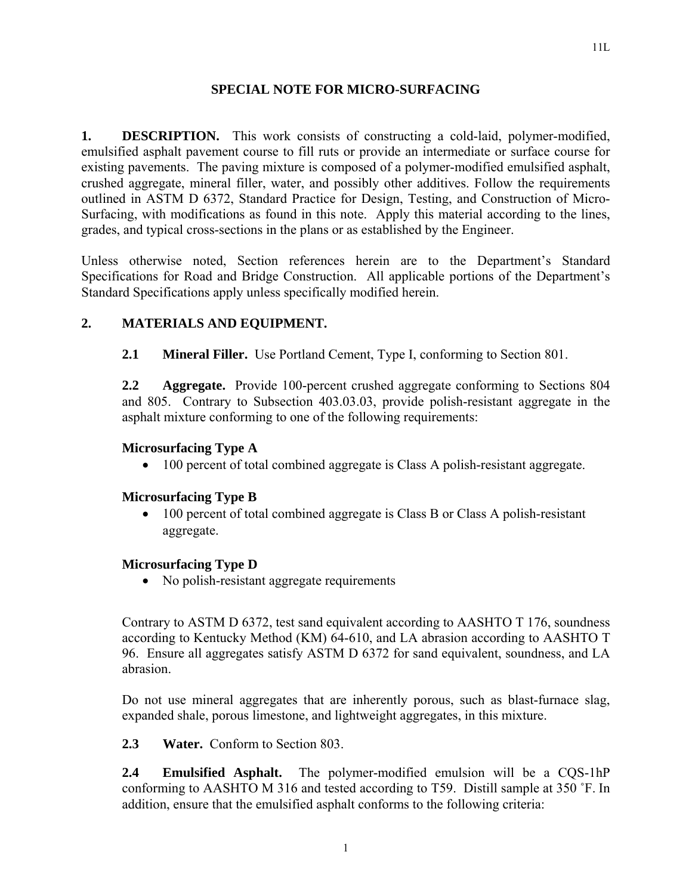#### **SPECIAL NOTE FOR MICRO-SURFACING**

**1. DESCRIPTION.** This work consists of constructing a cold-laid, polymer-modified, emulsified asphalt pavement course to fill ruts or provide an intermediate or surface course for existing pavements. The paving mixture is composed of a polymer-modified emulsified asphalt, crushed aggregate, mineral filler, water, and possibly other additives. Follow the requirements outlined in ASTM D 6372, Standard Practice for Design, Testing, and Construction of Micro-Surfacing, with modifications as found in this note. Apply this material according to the lines, grades, and typical cross-sections in the plans or as established by the Engineer.

Unless otherwise noted, Section references herein are to the Department's Standard Specifications for Road and Bridge Construction. All applicable portions of the Department's Standard Specifications apply unless specifically modified herein.

# **2. MATERIALS AND EQUIPMENT.**

**2.1 Mineral Filler.** Use Portland Cement, Type I, conforming to Section 801.

**2.2 Aggregate.** Provide 100-percent crushed aggregate conforming to Sections 804 and 805. Contrary to Subsection 403.03.03, provide polish-resistant aggregate in the asphalt mixture conforming to one of the following requirements:

#### **Microsurfacing Type A**

• 100 percent of total combined aggregate is Class A polish-resistant aggregate.

## **Microsurfacing Type B**

• 100 percent of total combined aggregate is Class B or Class A polish-resistant aggregate.

## **Microsurfacing Type D**

• No polish-resistant aggregate requirements

Contrary to ASTM D 6372, test sand equivalent according to AASHTO T 176, soundness according to Kentucky Method (KM) 64-610, and LA abrasion according to AASHTO T 96. Ensure all aggregates satisfy ASTM D 6372 for sand equivalent, soundness, and LA abrasion.

Do not use mineral aggregates that are inherently porous, such as blast-furnace slag, expanded shale, porous limestone, and lightweight aggregates, in this mixture.

**2.3 Water.** Conform to Section 803.

**2.4 Emulsified Asphalt.** The polymer-modified emulsion will be a CQS-1hP conforming to AASHTO M 316 and tested according to T59. Distill sample at 350 ˚F. In addition, ensure that the emulsified asphalt conforms to the following criteria: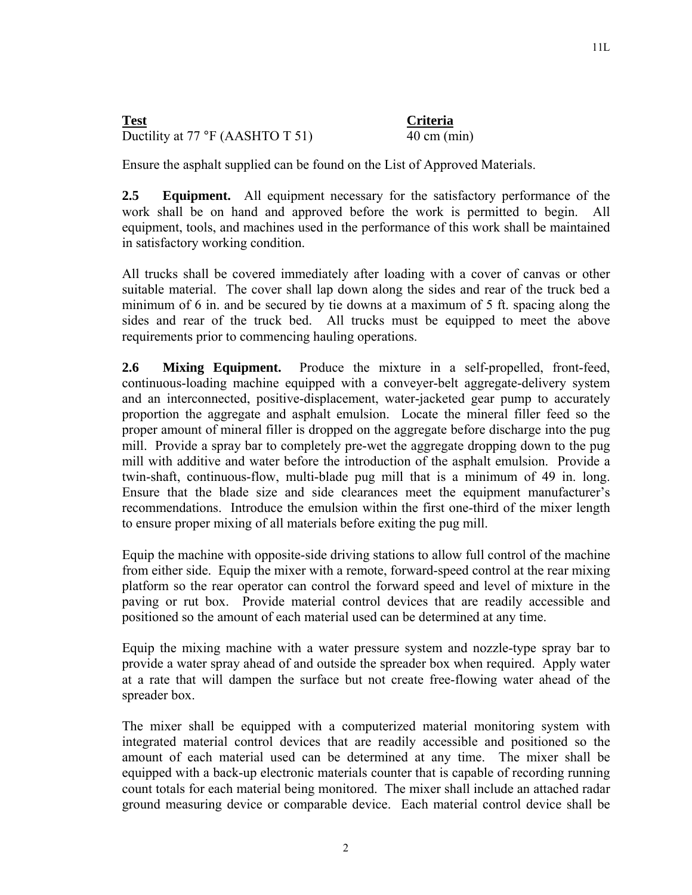# **Test Criteria** Ductility at 77 °F (AASHTO T 51) 40 cm (min)

Ensure the asphalt supplied can be found on the List of Approved Materials.

**2.5 Equipment.** All equipment necessary for the satisfactory performance of the work shall be on hand and approved before the work is permitted to begin. All equipment, tools, and machines used in the performance of this work shall be maintained in satisfactory working condition.

All trucks shall be covered immediately after loading with a cover of canvas or other suitable material. The cover shall lap down along the sides and rear of the truck bed a minimum of 6 in. and be secured by tie downs at a maximum of 5 ft. spacing along the sides and rear of the truck bed. All trucks must be equipped to meet the above requirements prior to commencing hauling operations.

**2.6 Mixing Equipment.** Produce the mixture in a self-propelled, front-feed, continuous-loading machine equipped with a conveyer-belt aggregate-delivery system and an interconnected, positive-displacement, water-jacketed gear pump to accurately proportion the aggregate and asphalt emulsion. Locate the mineral filler feed so the proper amount of mineral filler is dropped on the aggregate before discharge into the pug mill. Provide a spray bar to completely pre-wet the aggregate dropping down to the pug mill with additive and water before the introduction of the asphalt emulsion. Provide a twin-shaft, continuous-flow, multi-blade pug mill that is a minimum of 49 in. long. Ensure that the blade size and side clearances meet the equipment manufacturer's recommendations. Introduce the emulsion within the first one-third of the mixer length to ensure proper mixing of all materials before exiting the pug mill.

Equip the machine with opposite-side driving stations to allow full control of the machine from either side. Equip the mixer with a remote, forward-speed control at the rear mixing platform so the rear operator can control the forward speed and level of mixture in the paving or rut box. Provide material control devices that are readily accessible and positioned so the amount of each material used can be determined at any time.

Equip the mixing machine with a water pressure system and nozzle-type spray bar to provide a water spray ahead of and outside the spreader box when required. Apply water at a rate that will dampen the surface but not create free-flowing water ahead of the spreader box.

The mixer shall be equipped with a computerized material monitoring system with integrated material control devices that are readily accessible and positioned so the amount of each material used can be determined at any time. The mixer shall be equipped with a back-up electronic materials counter that is capable of recording running count totals for each material being monitored. The mixer shall include an attached radar ground measuring device or comparable device. Each material control device shall be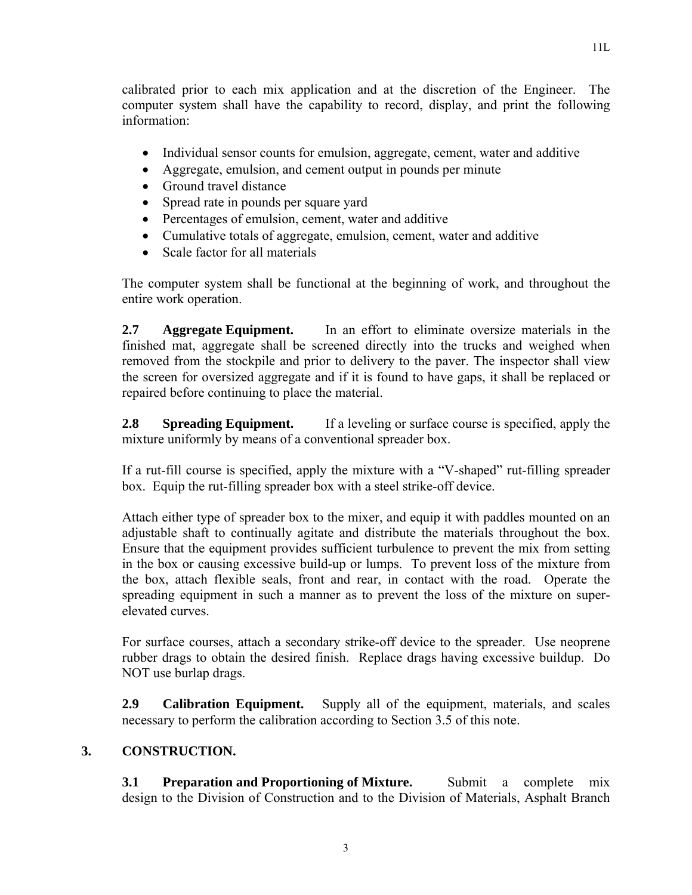calibrated prior to each mix application and at the discretion of the Engineer. The computer system shall have the capability to record, display, and print the following information:

- Individual sensor counts for emulsion, aggregate, cement, water and additive
- Aggregate, emulsion, and cement output in pounds per minute
- Ground travel distance
- Spread rate in pounds per square yard
- Percentages of emulsion, cement, water and additive
- Cumulative totals of aggregate, emulsion, cement, water and additive
- Scale factor for all materials

The computer system shall be functional at the beginning of work, and throughout the entire work operation.

**2.7 Aggregate Equipment.** In an effort to eliminate oversize materials in the finished mat, aggregate shall be screened directly into the trucks and weighed when removed from the stockpile and prior to delivery to the paver. The inspector shall view the screen for oversized aggregate and if it is found to have gaps, it shall be replaced or repaired before continuing to place the material.

**2.8 Spreading Equipment.** If a leveling or surface course is specified, apply the mixture uniformly by means of a conventional spreader box.

If a rut-fill course is specified, apply the mixture with a "V-shaped" rut-filling spreader box. Equip the rut-filling spreader box with a steel strike-off device.

Attach either type of spreader box to the mixer, and equip it with paddles mounted on an adjustable shaft to continually agitate and distribute the materials throughout the box. Ensure that the equipment provides sufficient turbulence to prevent the mix from setting in the box or causing excessive build-up or lumps. To prevent loss of the mixture from the box, attach flexible seals, front and rear, in contact with the road. Operate the spreading equipment in such a manner as to prevent the loss of the mixture on superelevated curves.

For surface courses, attach a secondary strike-off device to the spreader. Use neoprene rubber drags to obtain the desired finish. Replace drags having excessive buildup. Do NOT use burlap drags.

**2.9 Calibration Equipment.** Supply all of the equipment, materials, and scales necessary to perform the calibration according to Section 3.5 of this note.

# **3. CONSTRUCTION.**

**3.1 Preparation and Proportioning of Mixture.** Submit a complete mix design to the Division of Construction and to the Division of Materials, Asphalt Branch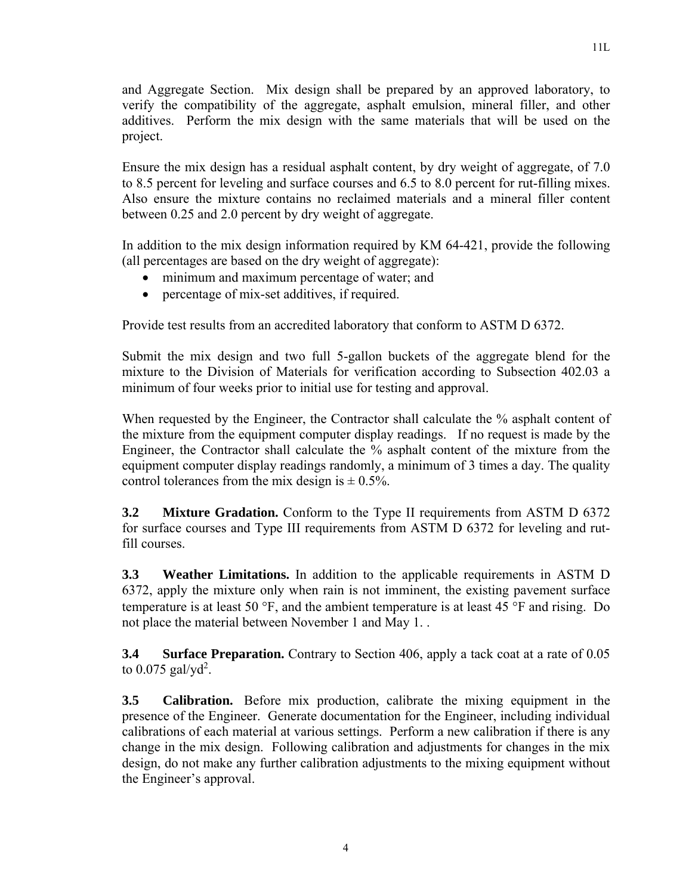and Aggregate Section. Mix design shall be prepared by an approved laboratory, to verify the compatibility of the aggregate, asphalt emulsion, mineral filler, and other additives. Perform the mix design with the same materials that will be used on the project.

Ensure the mix design has a residual asphalt content, by dry weight of aggregate, of 7.0 to 8.5 percent for leveling and surface courses and 6.5 to 8.0 percent for rut-filling mixes. Also ensure the mixture contains no reclaimed materials and a mineral filler content between 0.25 and 2.0 percent by dry weight of aggregate.

In addition to the mix design information required by KM 64-421, provide the following (all percentages are based on the dry weight of aggregate):

- minimum and maximum percentage of water; and
- percentage of mix-set additives, if required.

Provide test results from an accredited laboratory that conform to ASTM D 6372.

Submit the mix design and two full 5-gallon buckets of the aggregate blend for the mixture to the Division of Materials for verification according to Subsection 402.03 a minimum of four weeks prior to initial use for testing and approval.

When requested by the Engineer, the Contractor shall calculate the % asphalt content of the mixture from the equipment computer display readings. If no request is made by the Engineer, the Contractor shall calculate the % asphalt content of the mixture from the equipment computer display readings randomly, a minimum of 3 times a day. The quality control tolerances from the mix design is  $\pm$  0.5%.

**3.2** Mixture Gradation. Conform to the Type II requirements from ASTM D 6372 for surface courses and Type III requirements from ASTM D 6372 for leveling and rutfill courses.

**3.3 Weather Limitations.** In addition to the applicable requirements in ASTM D 6372, apply the mixture only when rain is not imminent, the existing pavement surface temperature is at least 50  $\textdegree$ F, and the ambient temperature is at least 45  $\textdegree$ F and rising. Do not place the material between November 1 and May 1. .

**3.4 Surface Preparation.** Contrary to Section 406, apply a tack coat at a rate of 0.05 to  $0.075$  gal/yd<sup>2</sup>.

**3.5 Calibration.** Before mix production, calibrate the mixing equipment in the presence of the Engineer. Generate documentation for the Engineer, including individual calibrations of each material at various settings. Perform a new calibration if there is any change in the mix design. Following calibration and adjustments for changes in the mix design, do not make any further calibration adjustments to the mixing equipment without the Engineer's approval.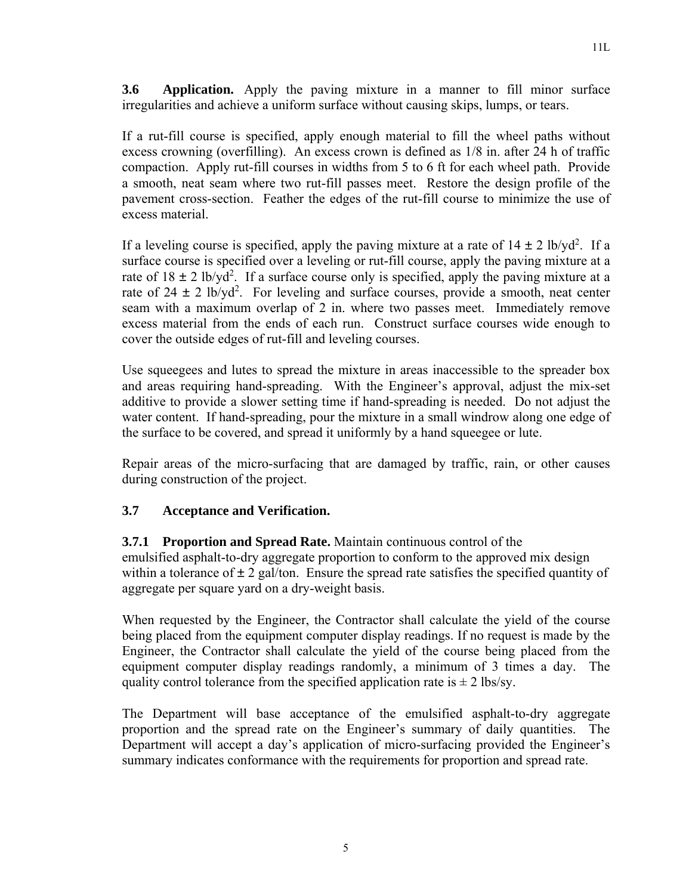11L

**3.6 Application.** Apply the paving mixture in a manner to fill minor surface irregularities and achieve a uniform surface without causing skips, lumps, or tears.

If a rut-fill course is specified, apply enough material to fill the wheel paths without excess crowning (overfilling). An excess crown is defined as 1/8 in. after 24 h of traffic compaction. Apply rut-fill courses in widths from 5 to 6 ft for each wheel path. Provide a smooth, neat seam where two rut-fill passes meet. Restore the design profile of the pavement cross-section. Feather the edges of the rut-fill course to minimize the use of excess material.

If a leveling course is specified, apply the paving mixture at a rate of  $14 \pm 2$  lb/yd<sup>2</sup>. If a surface course is specified over a leveling or rut-fill course, apply the paving mixture at a rate of  $18 \pm 2$  lb/yd<sup>2</sup>. If a surface course only is specified, apply the paving mixture at a rate of  $24 \pm 2$  lb/yd<sup>2</sup>. For leveling and surface courses, provide a smooth, neat center seam with a maximum overlap of 2 in. where two passes meet. Immediately remove excess material from the ends of each run. Construct surface courses wide enough to cover the outside edges of rut-fill and leveling courses.

Use squeegees and lutes to spread the mixture in areas inaccessible to the spreader box and areas requiring hand-spreading. With the Engineer's approval, adjust the mix-set additive to provide a slower setting time if hand-spreading is needed. Do not adjust the water content. If hand-spreading, pour the mixture in a small windrow along one edge of the surface to be covered, and spread it uniformly by a hand squeegee or lute.

Repair areas of the micro-surfacing that are damaged by traffic, rain, or other causes during construction of the project.

# **3.7 Acceptance and Verification.**

# **3.7.1 Proportion and Spread Rate.** Maintain continuous control of the

emulsified asphalt-to-dry aggregate proportion to conform to the approved mix design within a tolerance of  $\pm 2$  gal/ton. Ensure the spread rate satisfies the specified quantity of aggregate per square yard on a dry-weight basis.

When requested by the Engineer, the Contractor shall calculate the yield of the course being placed from the equipment computer display readings. If no request is made by the Engineer, the Contractor shall calculate the yield of the course being placed from the equipment computer display readings randomly, a minimum of 3 times a day. The quality control tolerance from the specified application rate is  $\pm 2$  lbs/sy.

The Department will base acceptance of the emulsified asphalt-to-dry aggregate proportion and the spread rate on the Engineer's summary of daily quantities. The Department will accept a day's application of micro-surfacing provided the Engineer's summary indicates conformance with the requirements for proportion and spread rate.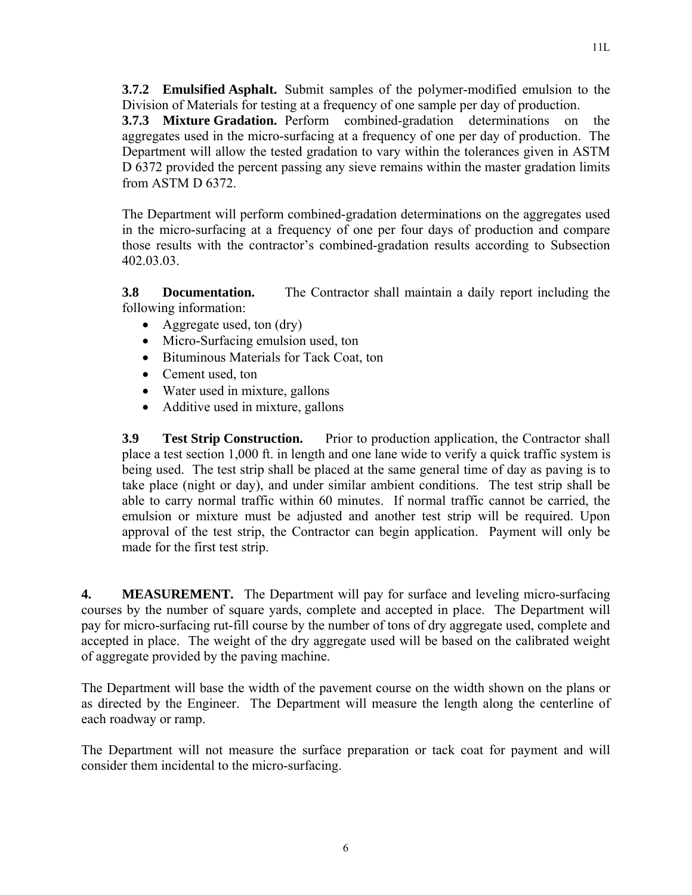**3.7.2 Emulsified Asphalt.** Submit samples of the polymer-modified emulsion to the Division of Materials for testing at a frequency of one sample per day of production.

**3.7.3 Mixture Gradation.** Perform combined-gradation determinations on the aggregates used in the micro-surfacing at a frequency of one per day of production. The Department will allow the tested gradation to vary within the tolerances given in ASTM D 6372 provided the percent passing any sieve remains within the master gradation limits from ASTM D 6372.

The Department will perform combined-gradation determinations on the aggregates used in the micro-surfacing at a frequency of one per four days of production and compare those results with the contractor's combined-gradation results according to Subsection 402.03.03.

**3.8 Documentation.** The Contractor shall maintain a daily report including the following information:

- Aggregate used, ton (dry)
- Micro-Surfacing emulsion used, ton
- Bituminous Materials for Tack Coat, ton
- Cement used, ton
- Water used in mixture, gallons
- Additive used in mixture, gallons

**3.9** Test Strip Construction. Prior to production application, the Contractor shall place a test section 1,000 ft. in length and one lane wide to verify a quick traffic system is being used. The test strip shall be placed at the same general time of day as paving is to take place (night or day), and under similar ambient conditions. The test strip shall be able to carry normal traffic within 60 minutes. If normal traffic cannot be carried, the emulsion or mixture must be adjusted and another test strip will be required. Upon approval of the test strip, the Contractor can begin application. Payment will only be made for the first test strip.

**4. MEASUREMENT.** The Department will pay for surface and leveling micro-surfacing courses by the number of square yards, complete and accepted in place. The Department will pay for micro-surfacing rut-fill course by the number of tons of dry aggregate used, complete and accepted in place. The weight of the dry aggregate used will be based on the calibrated weight of aggregate provided by the paving machine.

The Department will base the width of the pavement course on the width shown on the plans or as directed by the Engineer. The Department will measure the length along the centerline of each roadway or ramp.

The Department will not measure the surface preparation or tack coat for payment and will consider them incidental to the micro-surfacing.